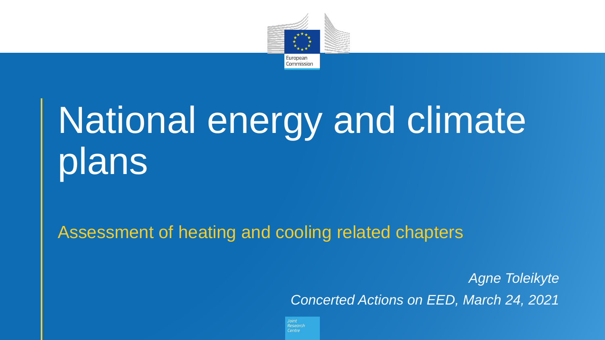

# National energy and climate plans

Assessment of heating and cooling related chapters

*Agne Toleikyte Concerted Actions on EED, March 24, 2021* 

Joint Research Centre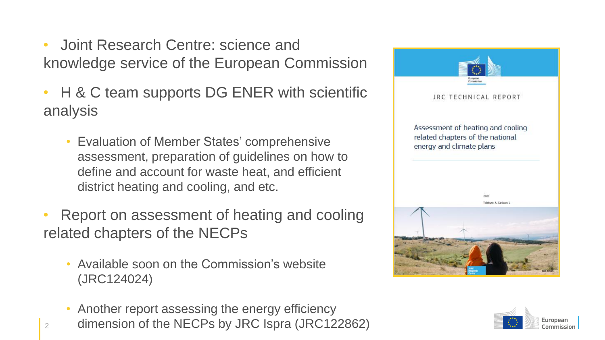- Joint Research Centre: science and knowledge service of the European Commission
- H & C team supports DG ENER with scientific analysis
	- Evaluation of Member States' comprehensive assessment, preparation of guidelines on how to define and account for waste heat, and efficient district heating and cooling, and etc.
- Report on assessment of heating and cooling related chapters of the NECPs
	- Available soon on the Commission's website (JRC124024)

2

• Another report assessing the energy efficiency dimension of the NECPs by JRC Ispra (JRC122862)



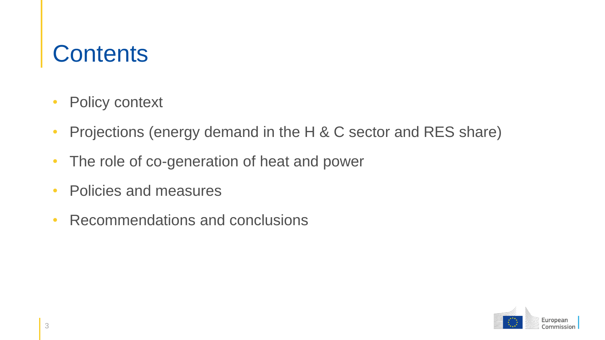### **Contents**

- Policy context
- Projections (energy demand in the H & C sector and RES share)
- The role of co-generation of heat and power
- Policies and measures
- Recommendations and conclusions

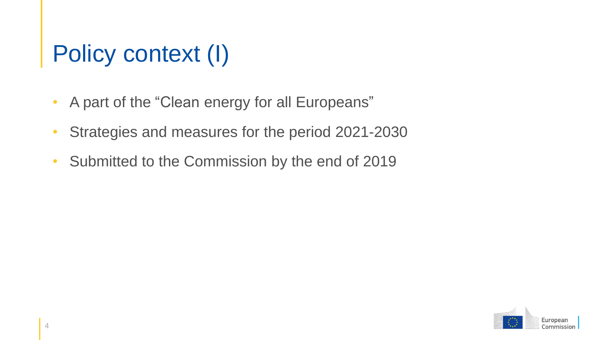# Policy context (I)

- A part of the "Clean energy for all Europeans"
- Strategies and measures for the period 2021-2030
- Submitted to the Commission by the end of 2019

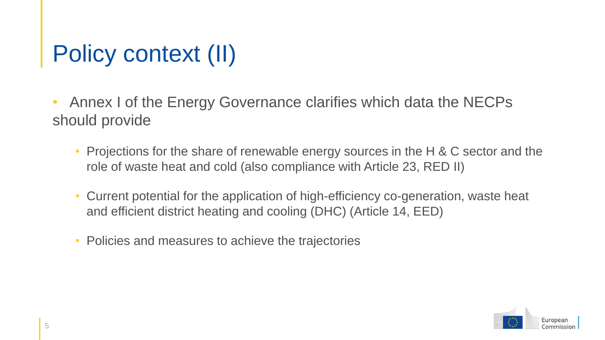# Policy context (II)

• Annex I of the Energy Governance clarifies which data the NECPs should provide

- Projections for the share of renewable energy sources in the H & C sector and the role of waste heat and cold (also compliance with Article 23, RED II)
- Current potential for the application of high-efficiency co-generation, waste heat and efficient district heating and cooling (DHC) (Article 14, EED)
- Policies and measures to achieve the trajectories

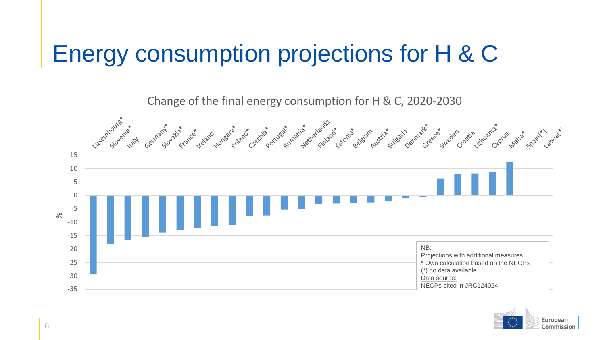### Energy consumption projections for H & C



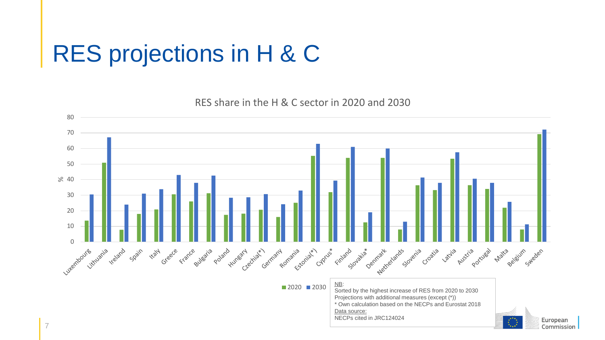### RES projections in H & C

RES share in the H & C sector in 2020 and 2030

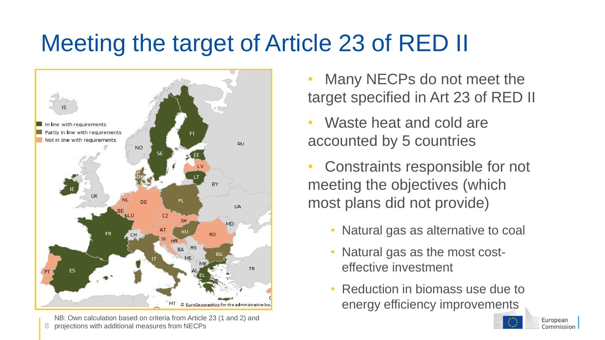# Meeting the target of Article 23 of RED II



8 NB: Own calculation based on criteria from Article 23 (1 and 2) and projections with additional measures from NECPs

- Many NECPs do not meet the target specified in Art 23 of RED II
- Waste heat and cold are accounted by 5 countries
- Constraints responsible for not meeting the objectives (which most plans did not provide)
	- Natural gas as alternative to coal
	- Natural gas as the most costeffective investment
	- Reduction in biomass use due to energy efficiency improvements

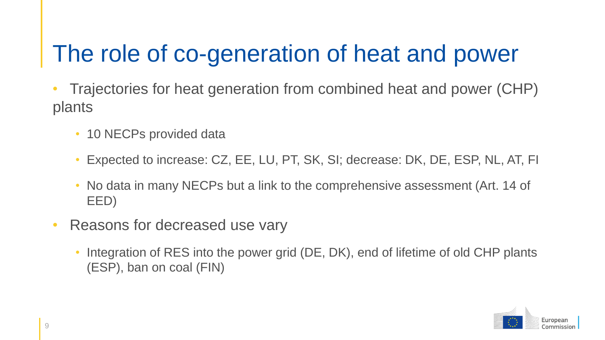### The role of co-generation of heat and power

- Trajectories for heat generation from combined heat and power (CHP) plants
	- 10 NECPs provided data
	- Expected to increase: CZ, EE, LU, PT, SK, SI; decrease: DK, DE, ESP, NL, AT, FI
	- No data in many NECPs but a link to the comprehensive assessment (Art. 14 of EED)
- Reasons for decreased use vary
	- Integration of RES into the power grid (DE, DK), end of lifetime of old CHP plants (ESP), ban on coal (FIN)

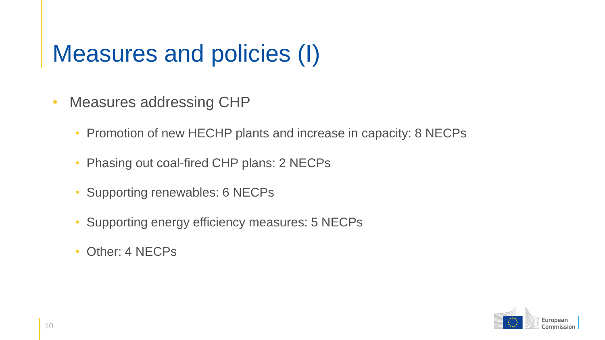### Measures and policies (I)

- Measures addressing CHP
	- Promotion of new HECHP plants and increase in capacity: 8 NECPs
	- Phasing out coal-fired CHP plans: 2 NECPs
	- Supporting renewables: 6 NECPs
	- Supporting energy efficiency measures: 5 NECPs
	- Other: 4 NECPs

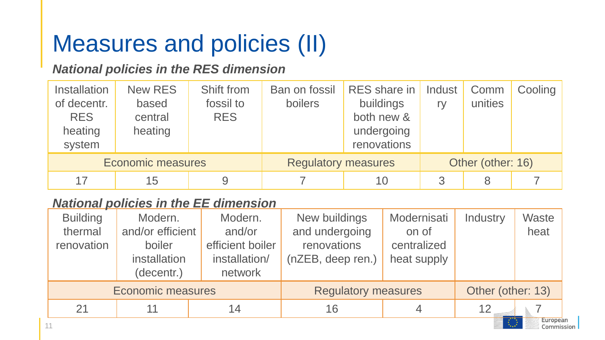### Measures and policies (II)

#### *National policies in the RES dimension*

| <b>Installation</b><br>of decentr.<br><b>RES</b><br>heating<br>system | New RES<br>based<br>central<br>heating | Shift from<br>fossil to<br><b>RES</b> | Ban on fossil<br>boilers   | <b>RES</b> share in<br>buildings<br>both new &<br>undergoing<br>renovations | Indust<br>rv      | Comm<br>unities | Cooling |
|-----------------------------------------------------------------------|----------------------------------------|---------------------------------------|----------------------------|-----------------------------------------------------------------------------|-------------------|-----------------|---------|
| <b>Economic measures</b>                                              |                                        |                                       | <b>Regulatory measures</b> |                                                                             | Other (other: 16) |                 |         |
| 17                                                                    | 15                                     |                                       |                            | 10                                                                          |                   | 8               |         |

#### *National policies in the EE dimension*

| Modern.<br>boiler<br>installation<br>(decentr.) | Modern.<br>and/or<br>efficient boiler<br>installation/<br>network | New buildings<br>and undergoing<br>renovations<br>(nZEB, deep ren.) | Modernisati<br>on of<br>centralized<br>heat supply | Industry | <b>Waste</b><br>heat |  |
|-------------------------------------------------|-------------------------------------------------------------------|---------------------------------------------------------------------|----------------------------------------------------|----------|----------------------|--|
| <b>Economic measures</b>                        |                                                                   |                                                                     | <b>Regulatory measures</b>                         |          | Other (other: 13)    |  |
| 11                                              | 14                                                                | 16                                                                  |                                                    | 12       | European             |  |
|                                                 |                                                                   | and/or efficient                                                    |                                                    |          |                      |  |

Comr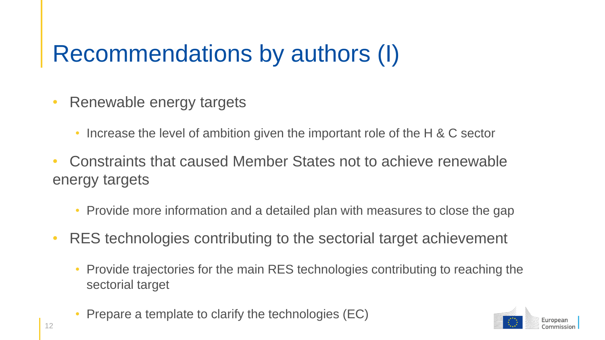### Recommendations by authors (I)

- Renewable energy targets
	- Increase the level of ambition given the important role of the H & C sector
- Constraints that caused Member States not to achieve renewable energy targets
	- Provide more information and a detailed plan with measures to close the gap
- RES technologies contributing to the sectorial target achievement
	- Provide trajectories for the main RES technologies contributing to reaching the sectorial target
	- Prepare a template to clarify the technologies (EC)

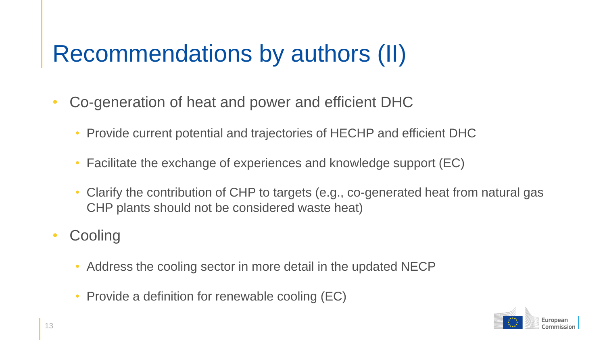### Recommendations by authors (II)

- Co-generation of heat and power and efficient DHC
	- Provide current potential and trajectories of HECHP and efficient DHC
	- Facilitate the exchange of experiences and knowledge support (EC)
	- Clarify the contribution of CHP to targets (e.g., co-generated heat from natural gas CHP plants should not be considered waste heat)
- Cooling
	- Address the cooling sector in more detail in the updated NECP
	- Provide a definition for renewable cooling (EC)

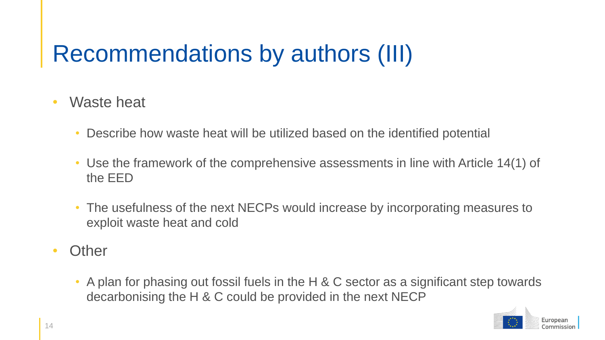# Recommendations by authors (III)

- Waste heat
	- Describe how waste heat will be utilized based on the identified potential
	- Use the framework of the comprehensive assessments in line with Article 14(1) of the EED
	- The usefulness of the next NECPs would increase by incorporating measures to exploit waste heat and cold
- Other
	- A plan for phasing out fossil fuels in the H & C sector as a significant step towards decarbonising the H & C could be provided in the next NECP

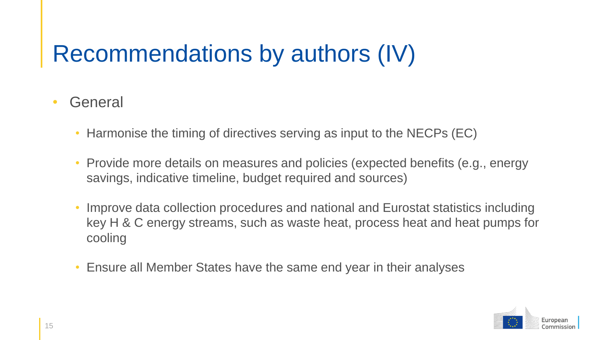# Recommendations by authors (IV)

#### • General

- Harmonise the timing of directives serving as input to the NECPs (EC)
- Provide more details on measures and policies (expected benefits (e.g., energy savings, indicative timeline, budget required and sources)
- Improve data collection procedures and national and Eurostat statistics including key H & C energy streams, such as waste heat, process heat and heat pumps for cooling
- Ensure all Member States have the same end year in their analyses

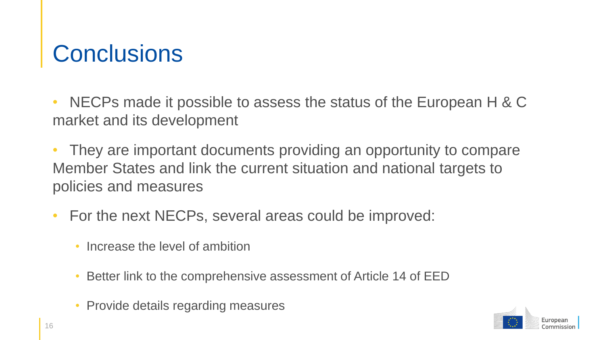### **Conclusions**

• NECPs made it possible to assess the status of the European H & C market and its development

They are important documents providing an opportunity to compare Member States and link the current situation and national targets to policies and measures

- For the next NECPs, several areas could be improved:
	- Increase the level of ambition
	- Better link to the comprehensive assessment of Article 14 of EED
	- Provide details regarding measures

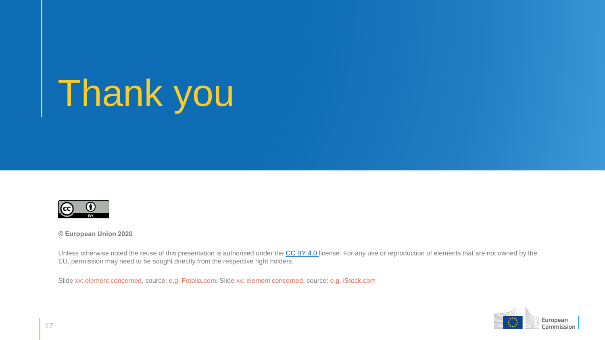# Thank you



**© European Union 2020**

Unless otherwise noted the reuse of this presentation is authorised under the [CC BY 4.0](https://creativecommons.org/licenses/by/4.0/) license. For any use or reproduction of elements that are not owned by the EU, permission may need to be sought directly from the respective right holders.

Slide xx: element concerned, source: e.g. Fotolia.com; Slide xx: element concerned, source: e.g. iStock.com